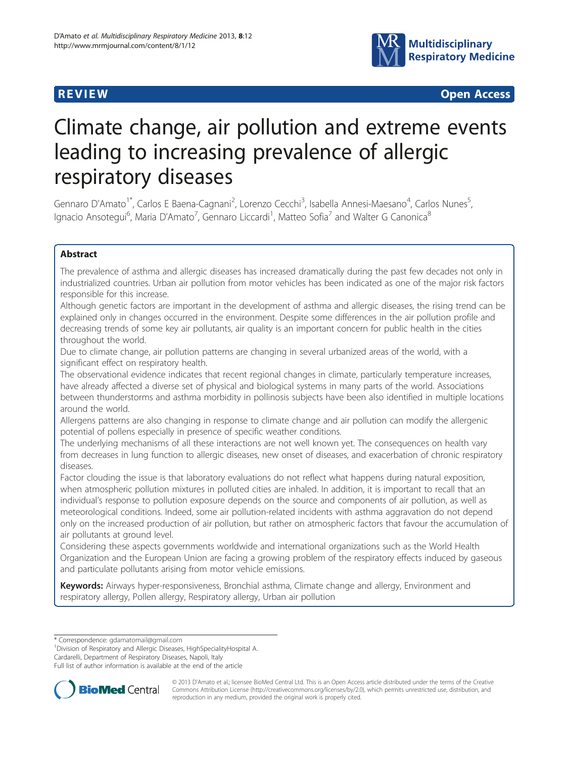



**REVIEW REVIEW CONSTRUCTER CONSTRUCTION** 

# Climate change, air pollution and extreme events leading to increasing prevalence of allergic respiratory diseases

Gennaro D'Amato<sup>1\*</sup>, Carlos E Baena-Cagnani<sup>2</sup>, Lorenzo Cecchi<sup>3</sup>, Isabella Annesi-Maesano<sup>4</sup>, Carlos Nunes<sup>5</sup> , lgnacio Ansotegui<sup>6</sup>, Maria D'Amato<sup>7</sup>, Gennaro Liccardi<sup>1</sup>, Matteo Sofia<sup>7</sup> and Walter G Canonica<sup>8</sup>

# Abstract

The prevalence of asthma and allergic diseases has increased dramatically during the past few decades not only in industrialized countries. Urban air pollution from motor vehicles has been indicated as one of the major risk factors responsible for this increase.

Although genetic factors are important in the development of asthma and allergic diseases, the rising trend can be explained only in changes occurred in the environment. Despite some differences in the air pollution profile and decreasing trends of some key air pollutants, air quality is an important concern for public health in the cities throughout the world.

Due to climate change, air pollution patterns are changing in several urbanized areas of the world, with a significant effect on respiratory health.

The observational evidence indicates that recent regional changes in climate, particularly temperature increases, have already affected a diverse set of physical and biological systems in many parts of the world. Associations between thunderstorms and asthma morbidity in pollinosis subjects have been also identified in multiple locations around the world.

Allergens patterns are also changing in response to climate change and air pollution can modify the allergenic potential of pollens especially in presence of specific weather conditions.

The underlying mechanisms of all these interactions are not well known yet. The consequences on health vary from decreases in lung function to allergic diseases, new onset of diseases, and exacerbation of chronic respiratory diseases.

Factor clouding the issue is that laboratory evaluations do not reflect what happens during natural exposition, when atmospheric pollution mixtures in polluted cities are inhaled. In addition, it is important to recall that an individual's response to pollution exposure depends on the source and components of air pollution, as well as meteorological conditions. Indeed, some air pollution-related incidents with asthma aggravation do not depend only on the increased production of air pollution, but rather on atmospheric factors that favour the accumulation of air pollutants at ground level.

Considering these aspects governments worldwide and international organizations such as the World Health Organization and the European Union are facing a growing problem of the respiratory effects induced by gaseous and particulate pollutants arising from motor vehicle emissions.

Keywords: Airways hyper-responsiveness, Bronchial asthma, Climate change and allergy, Environment and respiratory allergy, Pollen allergy, Respiratory allergy, Urban air pollution

\* Correspondence: [gdamatomail@gmail.com](mailto:gdamatomail@gmail.com) <sup>1</sup>

<sup>1</sup> Division of Respiratory and Allergic Diseases, HighSpecialityHospital A.

Cardarelli, Department of Respiratory Diseases, Napoli, Italy

Full list of author information is available at the end of the article



© 2013 D'Amato et al.; licensee BioMed Central Ltd. This is an Open Access article distributed under the terms of the Creative Commons Attribution License [\(http://creativecommons.org/licenses/by/2.0\)](http://creativecommons.org/licenses/by/2.0), which permits unrestricted use, distribution, and reproduction in any medium, provided the original work is properly cited.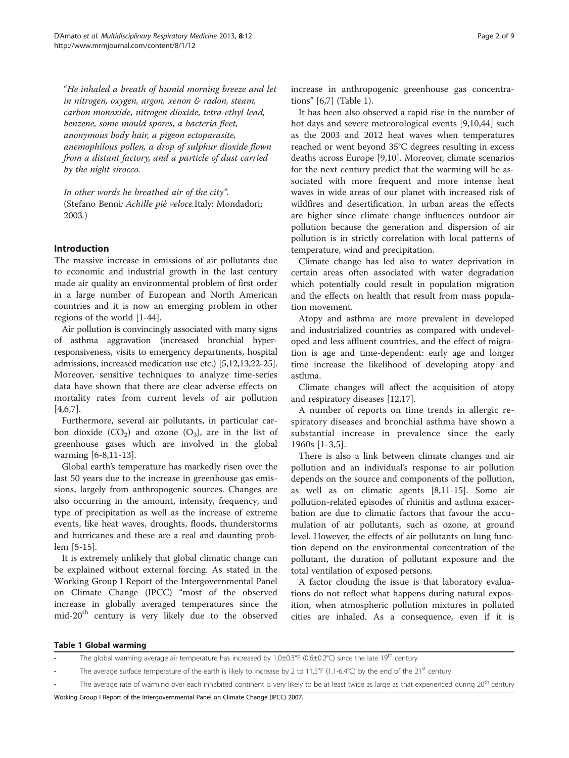"He inhaled a breath of humid morning breeze and let in nitrogen, oxygen, argon, xenon & radon, steam, carbon monoxide, nitrogen dioxide, tetra-ethyl lead, benzene, some mould spores, a bacteria fleet, anonymous body hair, a pigeon ectoparasite, anemophilous pollen, a drop of sulphur dioxide flown from a distant factory, and a particle of dust carried by the night sirocco.

In other words he breathed air of the city". (Stefano Benni: Achille piè veloce.Italy: Mondadori; 2003.)

# Introduction

The massive increase in emissions of air pollutants due to economic and industrial growth in the last century made air quality an environmental problem of first order in a large number of European and North American countries and it is now an emerging problem in other regions of the world [[1](#page-6-0)[-44\]](#page-7-0).

Air pollution is convincingly associated with many signs of asthma aggravation (increased bronchial hyperresponsiveness, visits to emergency departments, hospital admissions, increased medication use etc.) [\[5](#page-6-0)[,12,13,22](#page-7-0)-[25](#page-7-0)]. Moreover, sensitive techniques to analyze time-series data have shown that there are clear adverse effects on mortality rates from current levels of air pollution [[4,6,7](#page-6-0)].

Furthermore, several air pollutants, in particular carbon dioxide  $(CO_2)$  and ozone  $(O_3)$ , are in the list of greenhouse gases which are involved in the global warming [[6-8](#page-6-0)[,11-13](#page-7-0)].

Global earth's temperature has markedly risen over the last 50 years due to the increase in greenhouse gas emissions, largely from anthropogenic sources. Changes are also occurring in the amount, intensity, frequency, and type of precipitation as well as the increase of extreme events, like heat waves, droughts, floods, thunderstorms and hurricanes and these are a real and daunting problem [[5](#page-6-0)[-15](#page-7-0)].

It is extremely unlikely that global climatic change can be explained without external forcing. As stated in the Working Group I Report of the Intergovernmental Panel on Climate Change (IPCC) "most of the observed increase in globally averaged temperatures since the mid-20th century is very likely due to the observed increase in anthropogenic greenhouse gas concentrations" [\[6](#page-6-0),[7](#page-6-0)] (Table 1).

It has been also observed a rapid rise in the number of hot days and severe meteorological events [[9,10,](#page-6-0)[44](#page-7-0)] such as the 2003 and 2012 heat waves when temperatures reached or went beyond 35°C degrees resulting in excess deaths across Europe [\[9,10](#page-6-0)]. Moreover, climate scenarios for the next century predict that the warming will be associated with more frequent and more intense heat waves in wide areas of our planet with increased risk of wildfires and desertification. In urban areas the effects are higher since climate change influences outdoor air pollution because the generation and dispersion of air pollution is in strictly correlation with local patterns of temperature, wind and precipitation.

Climate change has led also to water deprivation in certain areas often associated with water degradation which potentially could result in population migration and the effects on health that result from mass population movement.

Atopy and asthma are more prevalent in developed and industrialized countries as compared with undeveloped and less affluent countries, and the effect of migration is age and time-dependent: early age and longer time increase the likelihood of developing atopy and asthma.

Climate changes will affect the acquisition of atopy and respiratory diseases [\[12,17](#page-7-0)].

A number of reports on time trends in allergic respiratory diseases and bronchial asthma have shown a substantial increase in prevalence since the early 1960s [\[1-3](#page-6-0),[5\]](#page-6-0).

There is also a link between climate changes and air pollution and an individual's response to air pollution depends on the source and components of the pollution, as well as on climatic agents [[8,](#page-6-0)[11-15\]](#page-7-0). Some air pollution-related episodes of rhinitis and asthma exacerbation are due to climatic factors that favour the accumulation of air pollutants, such as ozone, at ground level. However, the effects of air pollutants on lung function depend on the environmental concentration of the pollutant, the duration of pollutant exposure and the total ventilation of exposed persons.

A factor clouding the issue is that laboratory evaluations do not reflect what happens during natural exposition, when atmospheric pollution mixtures in polluted cities are inhaled. As a consequence, even if it is

## Table 1 Global warming

|  | The global warming average air temperature has increased by $1.0\pm0.3^{\circ}F$ (0.6 $\pm0.2^{\circ}C$ ) since the late 19 <sup>th</sup> century |  |  |  |  |
|--|---------------------------------------------------------------------------------------------------------------------------------------------------|--|--|--|--|
|--|---------------------------------------------------------------------------------------------------------------------------------------------------|--|--|--|--|

- The average surface temperature of the earth is likely to increase by 2 to 11.5°F (1.1-6.4°C) by the end of the 21<sup>st</sup> century
- The average rate of warming over each inhabited continent is very likely to be at least twice as large as that experienced during  $20<sup>th</sup>$  century

Working Group I Report of the Intergovernmental Panel on Climate Change (IPCC) 2007.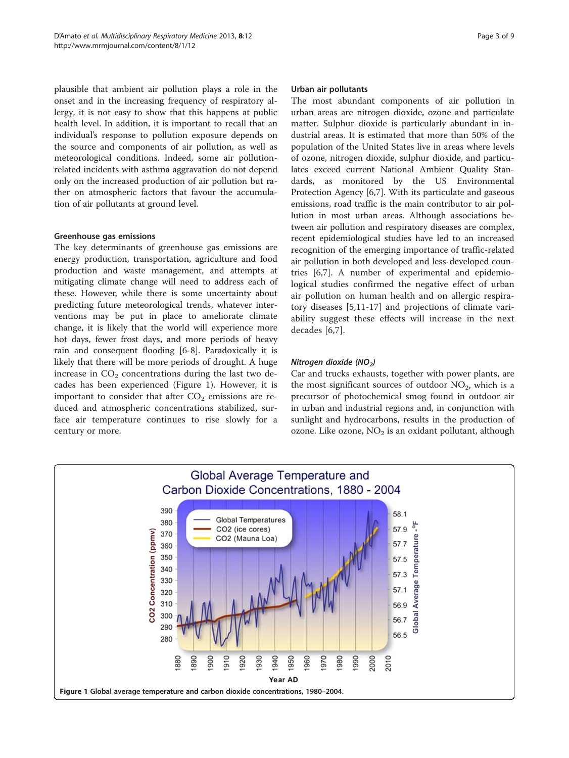plausible that ambient air pollution plays a role in the onset and in the increasing frequency of respiratory allergy, it is not easy to show that this happens at public health level. In addition, it is important to recall that an individual's response to pollution exposure depends on the source and components of air pollution, as well as meteorological conditions. Indeed, some air pollutionrelated incidents with asthma aggravation do not depend only on the increased production of air pollution but rather on atmospheric factors that favour the accumulation of air pollutants at ground level.

## Greenhouse gas emissions

The key determinants of greenhouse gas emissions are energy production, transportation, agriculture and food production and waste management, and attempts at mitigating climate change will need to address each of these. However, while there is some uncertainty about predicting future meteorological trends, whatever interventions may be put in place to ameliorate climate change, it is likely that the world will experience more hot days, fewer frost days, and more periods of heavy rain and consequent flooding [[6-8](#page-6-0)]. Paradoxically it is likely that there will be more periods of drought. A huge increase in  $CO<sub>2</sub>$  concentrations during the last two decades has been experienced (Figure 1). However, it is important to consider that after  $CO<sub>2</sub>$  emissions are reduced and atmospheric concentrations stabilized, surface air temperature continues to rise slowly for a century or more.

### Urban air pollutants

The most abundant components of air pollution in urban areas are nitrogen dioxide, ozone and particulate matter. Sulphur dioxide is particularly abundant in industrial areas. It is estimated that more than 50% of the population of the United States live in areas where levels of ozone, nitrogen dioxide, sulphur dioxide, and particulates exceed current National Ambient Quality Standards, as monitored by the US Environmental Protection Agency [[6](#page-6-0),[7](#page-6-0)]. With its particulate and gaseous emissions, road traffic is the main contributor to air pollution in most urban areas. Although associations between air pollution and respiratory diseases are complex, recent epidemiological studies have led to an increased recognition of the emerging importance of traffic-related air pollution in both developed and less-developed countries [\[6,7](#page-6-0)]. A number of experimental and epidemiological studies confirmed the negative effect of urban air pollution on human health and on allergic respiratory diseases [[5,](#page-6-0)[11-17\]](#page-7-0) and projections of climate variability suggest these effects will increase in the next decades [\[6](#page-6-0),[7\]](#page-6-0).

# Nitrogen dioxide ( $NO<sub>2</sub>$ )

Car and trucks exhausts, together with power plants, are the most significant sources of outdoor  $NO<sub>2</sub>$ , which is a precursor of photochemical smog found in outdoor air in urban and industrial regions and, in conjunction with sunlight and hydrocarbons, results in the production of ozone. Like ozone,  $NO<sub>2</sub>$  is an oxidant pollutant, although

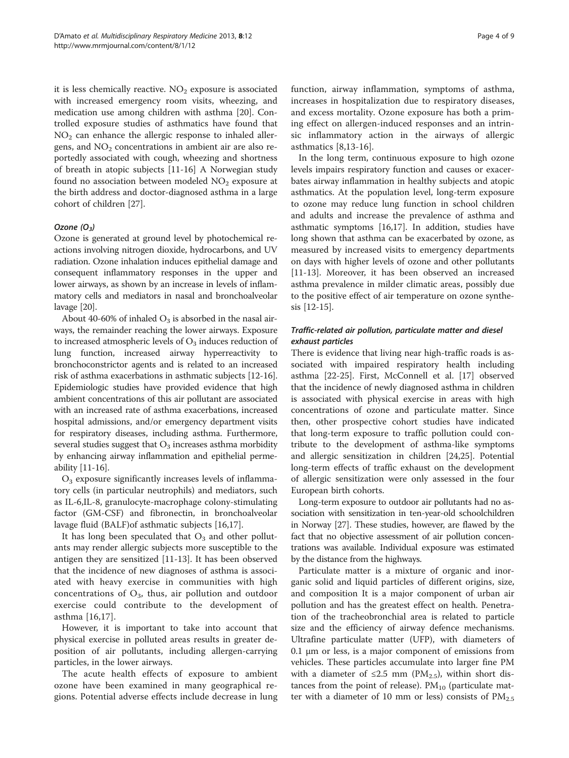it is less chemically reactive.  $NO<sub>2</sub>$  exposure is associated with increased emergency room visits, wheezing, and medication use among children with asthma [[20\]](#page-7-0). Controlled exposure studies of asthmatics have found that  $NO<sub>2</sub>$  can enhance the allergic response to inhaled allergens, and  $NO<sub>2</sub>$  concentrations in ambient air are also reportedly associated with cough, wheezing and shortness of breath in atopic subjects [\[11-16](#page-7-0)] A Norwegian study found no association between modeled  $NO<sub>2</sub>$  exposure at the birth address and doctor-diagnosed asthma in a large cohort of children [[27\]](#page-7-0).

## Ozone  $(O_3)$

Ozone is generated at ground level by photochemical reactions involving nitrogen dioxide, hydrocarbons, and UV radiation. Ozone inhalation induces epithelial damage and consequent inflammatory responses in the upper and lower airways, as shown by an increase in levels of inflammatory cells and mediators in nasal and bronchoalveolar lavage [[20](#page-7-0)].

About 40-60% of inhaled  $O_3$  is absorbed in the nasal airways, the remainder reaching the lower airways. Exposure to increased atmospheric levels of  $O<sub>3</sub>$  induces reduction of lung function, increased airway hyperreactivity to bronchoconstrictor agents and is related to an increased risk of asthma exacerbations in asthmatic subjects [[12](#page-7-0)-[16](#page-7-0)]. Epidemiologic studies have provided evidence that high ambient concentrations of this air pollutant are associated with an increased rate of asthma exacerbations, increased hospital admissions, and/or emergency department visits for respiratory diseases, including asthma. Furthermore, several studies suggest that  $O_3$  increases asthma morbidity by enhancing airway inflammation and epithelial permeability [[11](#page-7-0)-[16](#page-7-0)].

 $O<sub>3</sub>$  exposure significantly increases levels of inflammatory cells (in particular neutrophils) and mediators, such as IL-6,IL-8, granulocyte-macrophage colony-stimulating factor (GM-CSF) and fibronectin, in bronchoalveolar lavage fluid (BALF)of asthmatic subjects [[16,17\]](#page-7-0).

It has long been speculated that  $O_3$  and other pollutants may render allergic subjects more susceptible to the antigen they are sensitized [[11-13\]](#page-7-0). It has been observed that the incidence of new diagnoses of asthma is associated with heavy exercise in communities with high concentrations of  $O_3$ , thus, air pollution and outdoor exercise could contribute to the development of asthma [\[16](#page-7-0),[17\]](#page-7-0).

However, it is important to take into account that physical exercise in polluted areas results in greater deposition of air pollutants, including allergen-carrying particles, in the lower airways.

The acute health effects of exposure to ambient ozone have been examined in many geographical regions. Potential adverse effects include decrease in lung

function, airway inflammation, symptoms of asthma, increases in hospitalization due to respiratory diseases, and excess mortality. Ozone exposure has both a priming effect on allergen-induced responses and an intrinsic inflammatory action in the airways of allergic asthmatics [[8](#page-6-0)[,13](#page-7-0)-[16](#page-7-0)].

In the long term, continuous exposure to high ozone levels impairs respiratory function and causes or exacerbates airway inflammation in healthy subjects and atopic asthmatics. At the population level, long-term exposure to ozone may reduce lung function in school children and adults and increase the prevalence of asthma and asthmatic symptoms [[16](#page-7-0),[17](#page-7-0)]. In addition, studies have long shown that asthma can be exacerbated by ozone, as measured by increased visits to emergency departments on days with higher levels of ozone and other pollutants [[11-13](#page-7-0)]. Moreover, it has been observed an increased asthma prevalence in milder climatic areas, possibly due to the positive effect of air temperature on ozone synthesis [[12-15](#page-7-0)].

## Traffic-related air pollution, particulate matter and diesel exhaust particles

There is evidence that living near high-traffic roads is associated with impaired respiratory health including asthma [[22](#page-7-0)-[25\]](#page-7-0). First, McConnell et al. [[17\]](#page-7-0) observed that the incidence of newly diagnosed asthma in children is associated with physical exercise in areas with high concentrations of ozone and particulate matter. Since then, other prospective cohort studies have indicated that long-term exposure to traffic pollution could contribute to the development of asthma-like symptoms and allergic sensitization in children [\[24,25\]](#page-7-0). Potential long-term effects of traffic exhaust on the development of allergic sensitization were only assessed in the four European birth cohorts.

Long-term exposure to outdoor air pollutants had no association with sensitization in ten-year-old schoolchildren in Norway [\[27\]](#page-7-0). These studies, however, are flawed by the fact that no objective assessment of air pollution concentrations was available. Individual exposure was estimated by the distance from the highways.

Particulate matter is a mixture of organic and inorganic solid and liquid particles of different origins, size, and composition It is a major component of urban air pollution and has the greatest effect on health. Penetration of the tracheobronchial area is related to particle size and the efficiency of airway defence mechanisms. Ultrafine particulate matter (UFP), with diameters of 0.1 μm or less, is a major component of emissions from vehicles. These particles accumulate into larger fine PM with a diameter of  $\leq 2.5$  mm (PM<sub>2.5</sub>), within short distances from the point of release).  $PM_{10}$  (particulate matter with a diameter of 10 mm or less) consists of  $PM_{2.5}$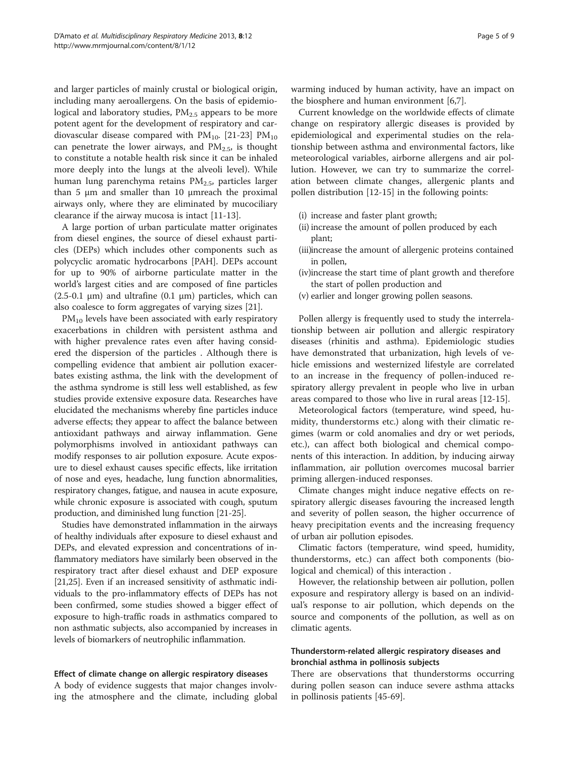and larger particles of mainly crustal or biological origin, including many aeroallergens. On the basis of epidemiological and laboratory studies,  $PM<sub>2.5</sub>$  appears to be more potent agent for the development of respiratory and cardiovascular disease compared with  $PM_{10}$ . [\[21-23](#page-7-0)]  $PM_{10}$ can penetrate the lower airways, and  $PM_{2.5}$  is thought to constitute a notable health risk since it can be inhaled more deeply into the lungs at the alveoli level). While human lung parenchyma retains  $PM_{2.5}$ , particles larger than 5 μm and smaller than 10 μmreach the proximal airways only, where they are eliminated by mucociliary clearance if the airway mucosa is intact [[11-13\]](#page-7-0).

A large portion of urban particulate matter originates from diesel engines, the source of diesel exhaust particles (DEPs) which includes other components such as polycyclic aromatic hydrocarbons [PAH]. DEPs account for up to 90% of airborne particulate matter in the world's largest cities and are composed of fine particles  $(2.5-0.1 \mu m)$  and ultrafine  $(0.1 \mu m)$  particles, which can also coalesce to form aggregates of varying sizes [[21\]](#page-7-0).

 $PM_{10}$  levels have been associated with early respiratory exacerbations in children with persistent asthma and with higher prevalence rates even after having considered the dispersion of the particles . Although there is compelling evidence that ambient air pollution exacerbates existing asthma, the link with the development of the asthma syndrome is still less well established, as few studies provide extensive exposure data. Researches have elucidated the mechanisms whereby fine particles induce adverse effects; they appear to affect the balance between antioxidant pathways and airway inflammation. Gene polymorphisms involved in antioxidant pathways can modify responses to air pollution exposure. Acute exposure to diesel exhaust causes specific effects, like irritation of nose and eyes, headache, lung function abnormalities, respiratory changes, fatigue, and nausea in acute exposure, while chronic exposure is associated with cough, sputum production, and diminished lung function [[21](#page-7-0)-[25](#page-7-0)].

Studies have demonstrated inflammation in the airways of healthy individuals after exposure to diesel exhaust and DEPs, and elevated expression and concentrations of inflammatory mediators have similarly been observed in the respiratory tract after diesel exhaust and DEP exposure [[21,25](#page-7-0)]. Even if an increased sensitivity of asthmatic individuals to the pro-inflammatory effects of DEPs has not been confirmed, some studies showed a bigger effect of exposure to high-traffic roads in asthmatics compared to non asthmatic subjects, also accompanied by increases in levels of biomarkers of neutrophilic inflammation.

## Effect of climate change on allergic respiratory diseases

A body of evidence suggests that major changes involving the atmosphere and the climate, including global

warming induced by human activity, have an impact on the biosphere and human environment [[6,7\]](#page-6-0).

Current knowledge on the worldwide effects of climate change on respiratory allergic diseases is provided by epidemiological and experimental studies on the relationship between asthma and environmental factors, like meteorological variables, airborne allergens and air pollution. However, we can try to summarize the correlation between climate changes, allergenic plants and pollen distribution [[12-15\]](#page-7-0) in the following points:

- (i) increase and faster plant growth;
- (ii) increase the amount of pollen produced by each plant;
- (iii)increase the amount of allergenic proteins contained in pollen,
- (iv)increase the start time of plant growth and therefore the start of pollen production and
- (v) earlier and longer growing pollen seasons.

Pollen allergy is frequently used to study the interrelationship between air pollution and allergic respiratory diseases (rhinitis and asthma). Epidemiologic studies have demonstrated that urbanization, high levels of vehicle emissions and westernized lifestyle are correlated to an increase in the frequency of pollen-induced respiratory allergy prevalent in people who live in urban areas compared to those who live in rural areas [\[12](#page-7-0)-[15\]](#page-7-0).

Meteorological factors (temperature, wind speed, humidity, thunderstorms etc.) along with their climatic regimes (warm or cold anomalies and dry or wet periods, etc.), can affect both biological and chemical components of this interaction. In addition, by inducing airway inflammation, air pollution overcomes mucosal barrier priming allergen-induced responses.

Climate changes might induce negative effects on respiratory allergic diseases favouring the increased length and severity of pollen season, the higher occurrence of heavy precipitation events and the increasing frequency of urban air pollution episodes.

Climatic factors (temperature, wind speed, humidity, thunderstorms, etc.) can affect both components (biological and chemical) of this interaction .

However, the relationship between air pollution, pollen exposure and respiratory allergy is based on an individual's response to air pollution, which depends on the source and components of the pollution, as well as on climatic agents.

# Thunderstorm-related allergic respiratory diseases and bronchial asthma in pollinosis subjects

There are observations that thunderstorms occurring during pollen season can induce severe asthma attacks in pollinosis patients [[45](#page-7-0)-[69\]](#page-8-0).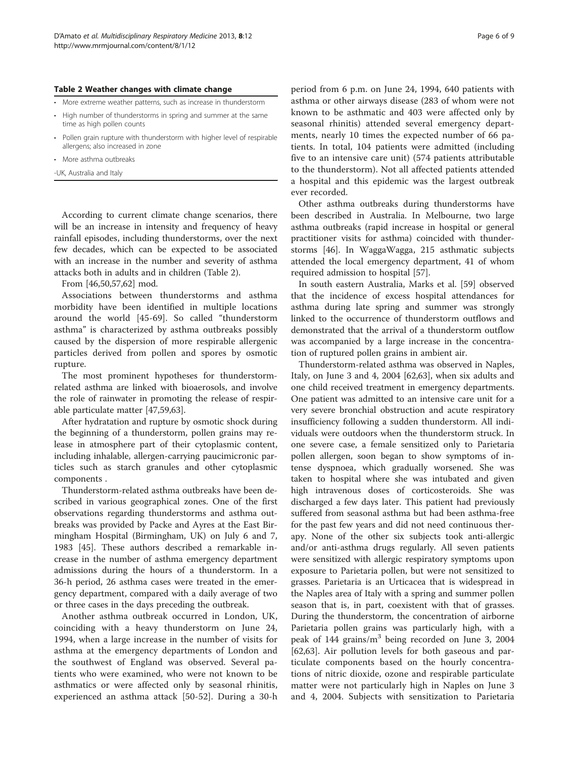#### Table 2 Weather changes with climate change

- More extreme weather patterns, such as increase in thunderstorm
- High number of thunderstorms in spring and summer at the same time as high pollen counts
- Pollen grain rupture with thunderstorm with higher level of respirable allergens; also increased in zone
- More asthma outbreaks
- -UK, Australia and Italy

According to current climate change scenarios, there will be an increase in intensity and frequency of heavy rainfall episodes, including thunderstorms, over the next few decades, which can be expected to be associated with an increase in the number and severity of asthma attacks both in adults and in children (Table 2).

From [[46,50,57,](#page-7-0)[62\]](#page-8-0) mod.

Associations between thunderstorms and asthma morbidity have been identified in multiple locations around the world [\[45](#page-7-0)-[69\]](#page-8-0). So called "thunderstorm asthma" is characterized by asthma outbreaks possibly caused by the dispersion of more respirable allergenic particles derived from pollen and spores by osmotic rupture.

The most prominent hypotheses for thunderstormrelated asthma are linked with bioaerosols, and involve the role of rainwater in promoting the release of respirable particulate matter [\[47,59](#page-7-0)[,63](#page-8-0)].

After hydratation and rupture by osmotic shock during the beginning of a thunderstorm, pollen grains may release in atmosphere part of their cytoplasmic content, including inhalable, allergen-carrying paucimicronic particles such as starch granules and other cytoplasmic components .

Thunderstorm-related asthma outbreaks have been described in various geographical zones. One of the first observations regarding thunderstorms and asthma outbreaks was provided by Packe and Ayres at the East Birmingham Hospital (Birmingham, UK) on July 6 and 7, 1983 [\[45](#page-7-0)]. These authors described a remarkable increase in the number of asthma emergency department admissions during the hours of a thunderstorm. In a 36-h period, 26 asthma cases were treated in the emergency department, compared with a daily average of two or three cases in the days preceding the outbreak.

Another asthma outbreak occurred in London, UK, coinciding with a heavy thunderstorm on June 24, 1994, when a large increase in the number of visits for asthma at the emergency departments of London and the southwest of England was observed. Several patients who were examined, who were not known to be asthmatics or were affected only by seasonal rhinitis, experienced an asthma attack [[50](#page-7-0)-[52\]](#page-7-0). During a 30-h

period from 6 p.m. on June 24, 1994, 640 patients with asthma or other airways disease (283 of whom were not known to be asthmatic and 403 were affected only by seasonal rhinitis) attended several emergency departments, nearly 10 times the expected number of 66 patients. In total, 104 patients were admitted (including five to an intensive care unit) (574 patients attributable to the thunderstorm). Not all affected patients attended a hospital and this epidemic was the largest outbreak ever recorded.

Other asthma outbreaks during thunderstorms have been described in Australia. In Melbourne, two large asthma outbreaks (rapid increase in hospital or general practitioner visits for asthma) coincided with thunderstorms [\[46](#page-7-0)]. In WaggaWagga, 215 asthmatic subjects attended the local emergency department, 41 of whom required admission to hospital [[57](#page-7-0)].

In south eastern Australia, Marks et al. [\[59](#page-7-0)] observed that the incidence of excess hospital attendances for asthma during late spring and summer was strongly linked to the occurrence of thunderstorm outflows and demonstrated that the arrival of a thunderstorm outflow was accompanied by a large increase in the concentration of ruptured pollen grains in ambient air.

Thunderstorm-related asthma was observed in Naples, Italy, on June 3 and 4, 2004 [[62,63\]](#page-8-0), when six adults and one child received treatment in emergency departments. One patient was admitted to an intensive care unit for a very severe bronchial obstruction and acute respiratory insufficiency following a sudden thunderstorm. All individuals were outdoors when the thunderstorm struck. In one severe case, a female sensitized only to Parietaria pollen allergen, soon began to show symptoms of intense dyspnoea, which gradually worsened. She was taken to hospital where she was intubated and given high intravenous doses of corticosteroids. She was discharged a few days later. This patient had previously suffered from seasonal asthma but had been asthma-free for the past few years and did not need continuous therapy. None of the other six subjects took anti-allergic and/or anti-asthma drugs regularly. All seven patients were sensitized with allergic respiratory symptoms upon exposure to Parietaria pollen, but were not sensitized to grasses. Parietaria is an Urticacea that is widespread in the Naples area of Italy with a spring and summer pollen season that is, in part, coexistent with that of grasses. During the thunderstorm, the concentration of airborne Parietaria pollen grains was particularly high, with a peak of 144 grains/m<sup>3</sup> being recorded on June 3, 2004 [[62,63\]](#page-8-0). Air pollution levels for both gaseous and particulate components based on the hourly concentrations of nitric dioxide, ozone and respirable particulate matter were not particularly high in Naples on June 3 and 4, 2004. Subjects with sensitization to Parietaria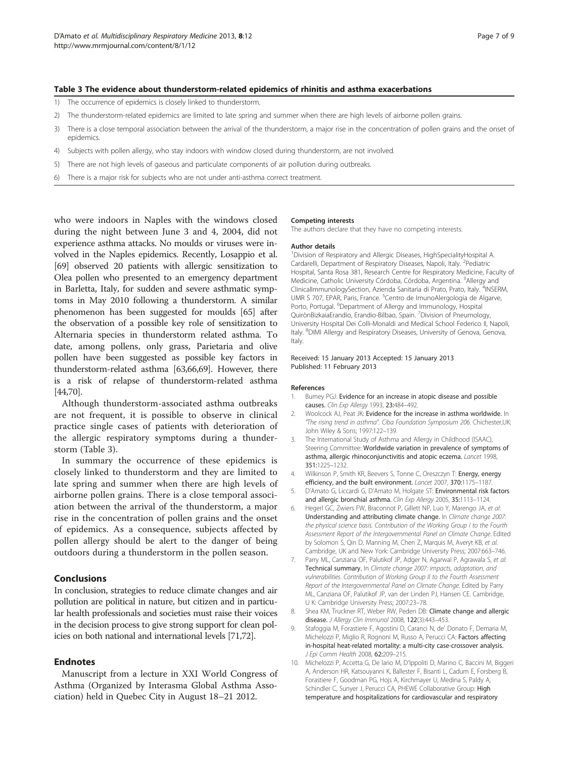#### <span id="page-6-0"></span>Table 3 The evidence about thunderstorm-related epidemics of rhinitis and asthma exacerbations

- 1) The occurrence of epidemics is closely linked to thunderstorm.
- 2) The thunderstorm-related epidemics are limited to late spring and summer when there are high levels of airborne pollen grains.
- 3) There is a close temporal association between the arrival of the thunderstorm, a major rise in the concentration of pollen grains and the onset of epidemics.
- 4) Subjects with pollen allergy, who stay indoors with window closed during thunderstorm, are not involved.
- 5) There are not high levels of gaseous and particulate components of air pollution during outbreaks.
- 6) There is a major risk for subjects who are not under anti-asthma correct treatment.

who were indoors in Naples with the windows closed during the night between June 3 and 4, 2004, did not experience asthma attacks. No moulds or viruses were involved in the Naples epidemics. Recently, Losappio et al. [[69](#page-8-0)] observed 20 patients with allergic sensitization to Olea pollen who presented to an emergency department in Barletta, Italy, for sudden and severe asthmatic symptoms in May 2010 following a thunderstorm. A similar phenomenon has been suggested for moulds [[65](#page-8-0)] after the observation of a possible key role of sensitization to Alternaria species in thunderstorm related asthma. To date, among pollens, only grass, Parietaria and olive pollen have been suggested as possible key factors in thunderstorm-related asthma [[63,66,69\]](#page-8-0). However, there is a risk of relapse of thunderstorm-related asthma [[44](#page-7-0)[,70](#page-8-0)].

Although thunderstorm-associated asthma outbreaks are not frequent, it is possible to observe in clinical practice single cases of patients with deterioration of the allergic respiratory symptoms during a thunderstorm (Table 3).

In summary the occurrence of these epidemics is closely linked to thunderstorm and they are limited to late spring and summer when there are high levels of airborne pollen grains. There is a close temporal association between the arrival of the thunderstorm, a major rise in the concentration of pollen grains and the onset of epidemics. As a consequence, subjects affected by pollen allergy should be alert to the danger of being outdoors during a thunderstorm in the pollen season.

## Conclusions

In conclusion, strategies to reduce climate changes and air pollution are political in nature, but citizen and in particular health professionals and societies must raise their voices in the decision process to give strong support for clean policies on both national and international levels [[71,72\]](#page-8-0).

## Endnotes

Manuscript from a lecture in XXI World Congress of Asthma (Organized by Interasma Global Asthma Association) held in Quebec City in August 18–21 2012.

#### Competing interests

The authors declare that they have no competing interests.

#### Author details

<sup>1</sup> Division of Respiratory and Allergic Diseases, HighSpecialityHospital A. Cardarelli, Department of Respiratory Diseases, Napoli, Italy. <sup>2</sup>Pediatric Hospital, Santa Rosa 381, Research Centre for Respiratory Medicine, Faculty of Medicine, Catholic University Córdoba, Córdoba, Argentina. <sup>3</sup>Allergy and ClinicalImmunologySection, Azienda Sanitaria di Prato, Prato, Italy. <sup>4</sup>INSERM UMR S 707, EPAR, Paris, France. <sup>5</sup>Centro de ImunoAlergologia de Algarve, Porto, Portugal. <sup>6</sup>Department of Allergy and Immunology, Hospital QuirònBizkaiaErandio, Erandio-Bilbao, Spain. <sup>7</sup>Division of Pneumology, University Hospital Dei Colli-Monaldi and Medical School Federico II, Napoli, Italy. <sup>8</sup>DIMI Allergy and Respiratory Diseases, University of Genova, Genova, Italy.

#### Received: 15 January 2013 Accepted: 15 January 2013 Published: 11 February 2013

#### References

- Burney PGJ: Evidence for an increase in atopic disease and possible causes. Clin Exp Allergy 1993, 23:484–492.
- 2. Woolcock AJ, Peat JK: Evidence for the increase in asthma worldwide. In "The rising trend in asthma". Ciba Foundation Symposium 206. Chichester,UK: John Wiley & Sons; 1997:122–139.
- 3. The International Study of Asthma and Allergy in Childhood (ISAAC), Steering Committee: Worldwide variation in prevalence of symptoms of asthma, allergic rhinoconjunctivitis and atopic eczema. Lancet 1998, 351:1225–1232.
- 4. Wilkinson P, Smith KR, Beevers S, Tonne C, Oreszczyn T: Energy, energy efficiency, and the built environment. Lancet 2007, 370:1175–1187.
- 5. D'Amato G, Liccardi G, D'Amato M, Holgate ST: Environmental risk factors and allergic bronchial asthma. Clin Exp Allergy 2005, 35:1113-1124.
- 6. Hegerl GC, Zwiers FW, Braconnot P, Gillett NP, Luo Y, Marengo JA, et al: Understanding and attributing climate change. In Climate change 2007: the physical science basis. Contribution of the Working Group I to the Fourth Assessment Report of the Intergovernmental Panel on Climate Change. Edited by Solomon S, Qin D, Manning M, Chen Z, Marquis M, Averyt KB, et al. Cambridge, UK and New York: Cambridge University Press; 2007:663–746.
- 7. Parry ML, Canziana OF, Palutikof JP, Adger N, Agarwal P, Agrawala S, et al: Technical summary. In Climate change 2007: impacts, adaptation, and vulnerabilities. Contribution of Working Group II to the Fourth Assessment Report of the Intergovernmental Panel on Climate Change. Edited by Parry ML, Canziana OF, Palutikof JP, van der Linden PJ, Hansen CE. Cambridge, U K: Cambridge University Press; 2007:23–78.
- 8. Shea KM, Truckner RT, Weber RW, Peden DB: Climate change and allergic disease. J Allergy Clin Immunol 2008, 122(3):443–453.
- 9. Stafoggia M, Forastiere F, Agostini D, Caranci N, de' Donato F, Demaria M, Michelozzi P, Miglio R, Rognoni M, Russo A, Perucci CA: Factors affecting in-hospital heat-related mortality: a multi-city case-crossover analysis. J Epi Comm Health 2008, 62:209–215.
- 10. Michelozzi P, Accetta G, De lario M, D'Ippoliti D, Marino C, Baccini M, Biggeri A, Anderson HR, Katsouyanni K, Ballester F, Bisanti L, Cadum E, Forsberg B, Forastiere F, Goodman PG, Hojs A, Kirchmayer U, Medina S, Paldy A, Schindler C, Sunyer J, Perucci CA, PHEWE Collaborative Group: High temperature and hospitalizations for cardiovascular and respiratory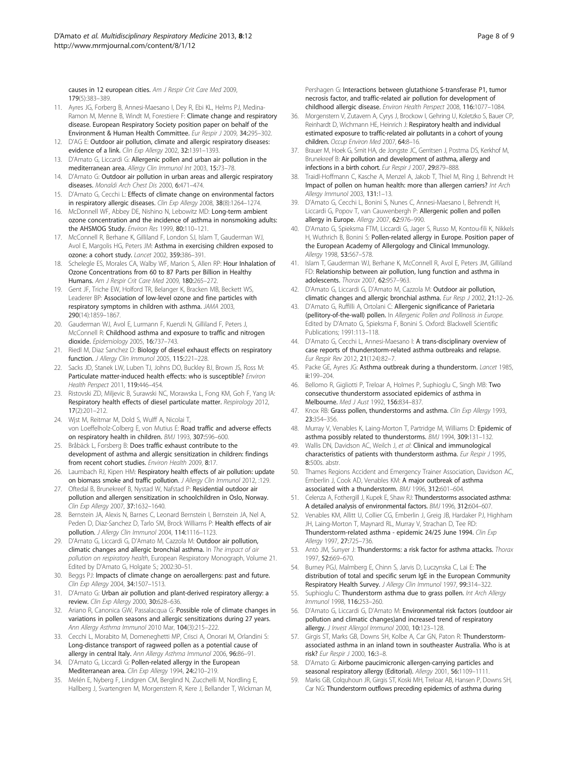<span id="page-7-0"></span>causes in 12 european cities. Am J Respir Crit Care Med 2009, 179(5):383–389.

- 11. Ayres JG, Forberg B, Annesi-Maesano I, Dey R, Ebi KL, Helms PJ, Medina-Ramon M, Menne B, Windt M, Forestiere F: Climate change and respiratory disease. European Respiratory Society position paper on behalf of the Environment & Human Health Committee. Eur Respir J 2009, 34:295–302.
- 12. D'AG E: Outdoor air pollution, climate and allergic respiratory diseases: evidence of a link. Clin Exp Allergy 2002, 32:1391-1393.
- 13. D'Amato G, Liccardi G: Allergenic pollen and urban air pollution in the mediterranean area. Allergy Clin Immunol Int 2003, 15:73–78.
- D'Amato G: Outdoor air pollution in urban areas and allergic respiratory diseases. Monaldi Arch Chest Dis 2000, 6:471–474.
- 15. D'Amato G, Cecchi L: Effects of climate change on environmental factors in respiratory allergic diseases. Clin Exp Allergy 2008, 38(8):1264-1274.
- 16. McDonnell WF, Abbey DE, Nishino N, Lebowitz MD: Long-term ambient ozone concentration and the incidence of asthma in nonsmoking adults: the AHSMOG Study. Environ Res 1999, 80:110–121.
- 17. McConnell R, Berhane K, Gilliland F, London SJ, Islam T, Gauderman WJ, Avol E, Margolis HG, Peters JM: Asthma in exercising children exposed to ozone: a cohort study. Lancet 2002, 359:386–391.
- 18. Schelegle ES, Morales CA, Walby WF, Marion S, Allen RP: Hour Inhalation of Ozone Concentrations from 60 to 87 Parts per Billion in Healthy Humans. Am J Respir Crit Care Med 2009, 180:265–272.
- 19. Gent JF, Triche EW, Holford TR, Belanger K, Bracken MB, Beckett WS, Leaderer BP: Association of low-level ozone and fine particles with respiratory symptoms in children with asthma. JAMA 2003, 290(14):1859–1867.
- 20. Gauderman WJ, Avol E, Lurmann F, Kuenzli N, Gilliland F, Peters J, McConnell R: Childhood asthma and exposure to traffic and nitrogen dioxide. Epidemiology 2005, 16:737–743.
- 21. Riedl M, Diaz Sanchez D: Biology of diesel exhaust effects on respiratory function. J Allergy Clin Immunol 2005, 115:221–228.
- 22. Sacks JD, Stanek LW, Luben TJ, Johns DO, Buckley BJ, Brown JS, Ross M: Particulate matter-induced health effects: who is susceptible? Environ Health Perspect 2011, 119:446–454.
- 23. Ristovski ZD, Miljevic B, Surawski NC, Morawska L, Fong KM, Goh F, Yang IA: Respiratory health effects of diesel particulate matter. Respirology 2012, 17(2):201–212.
- 24. Wjst M, Reitmar M, Dold S, Wulff A, Nicolai T, von Loeffelholz-Colberg E, von Mutius E: Road traffic and adverse effects on respiratory health in children. BMJ 1993, 307:596–600.
- 25. Bråbäck L, Forsberg B: Does traffic exhaust contribute to the development of asthma and allergic sensitization in children: findings from recent cohort studies. Environ Health 2009, 8:17.
- 26. Laumbach RJ, Kipen HM: Respiratory health effects of air pollution: update on biomass smoke and traffic pollution. J Allergy Clin Immunol 2012, :129.
- 27. Oftedal B, Brunekreef B, Nystad W, Nafstad P: Residential outdoor air pollution and allergen sensitization in schoolchildren in Oslo, Norway. Clin Exp Allergy 2007, 37:1632–1640.
- 28. Bernstein JA, Alexis N, Barnes C, Leonard Bernstein I, Bernstein JA, Nel A, Peden D, Diaz-Sanchez D, Tarlo SM, Brock Williams P: Health effects of air pollution. J Allergy Clin Immunol 2004, 114:1116-1123.
- 29. D'Amato G, Liccardi G, D'Amato M, Cazzola M: Outdoor air pollution, climatic changes and allergic bronchial asthma. In The impact of air pollution on respiratory health, European Respiratory Monograph, Volume 21. Edited by D'Amato G, Holgate S.; 2002:30–51.
- 30. Beggs PJ: Impacts of climate change on aeroallergens: past and future. Clin Exp Allergy 2004, 34:1507–1513.
- 31. D'Amato G: Urban air pollution and plant-derived respiratory allergy: a review. Clin Exp Allergy 2000, 30:628–636.
- 32. Ariano R, Canonica GW, Passalacqua G: Possible role of climate changes in variations in pollen seasons and allergic sensitizations during 27 years. Ann Allergy Asthma Immunol 2010 Mar, 104(3):215–222.
- 33. Cecchi L, Morabito M, Domeneghetti MP, Crisci A, Onorari M, Orlandini S: Long-distance transport of ragweed pollen as a potential cause of allergy in central Italy. Ann Allergy Asthma Immunol 2006, 96:86-91.
- 34. D'Amato G, Liccardi G: Pollen-related allergy in the European Mediterranean area. Clin Exp Allergy 1994, 24:210–219.
- 35. Melén E, Nyberg F, Lindgren CM, Berglind N, Zucchelli M, Nordling E, Hallberg J, Svartengren M, Morgenstern R, Kere J, Bellander T, Wickman M,

Pershagen G: Interactions between glutathione S-transferase P1, tumor necrosis factor, and traffic-related air pollution for development of childhood allergic disease. Environ Health Perspect 2008, 116:1077–1084.

- 36. Morgenstern V, Zutavern A, Cyrys J, Brockow I, Gehring U, Koletzko S, Bauer CP, Reinhardt D, Wichmann HE, Heinrich J: Respiratory health and individual estimated exposure to traffic-related air pollutants in a cohort of young children. Occup Environ Med 2007, 64:8-16.
- Brauer M, Hoek G, Smit HA, de Jongste JC, Gerritsen J, Postma DS, Kerkhof M, Brunekreef B: Air pollution and development of asthma, allergy and infections in a birth cohort. Eur Respir J 2007, 29:879–888.
- Traidl-Hoffmann C, Kasche A, Menzel A, Jakob T, Thiel M, Ring J, Behrendt H: Impact of pollen on human health: more than allergen carriers? Int Arch Allergy Immunol 2003, 131:1–13.
- 39. D'Amato G, Cecchi L, Bonini S, Nunes C, Annesi-Maesano I, Behrendt H, Liccardi G, Popov T, van Cauwenbergh P: Allergenic pollen and pollen allergy in Europe. Allergy 2007, 62:976–990.
- 40. D'Amato G, Spieksma FTM, Liccardi G, Jager S, Russo M, Kontou-fili K, Nikkels H, Wuthrich B, Bonini S: Pollen-related allergy in Europe. Position paper of the European Academy of Allergology and Clinical Immunology. Allergy 1998, 53:567–578.
- 41. Islam T, Gauderman WJ, Berhane K, McConnell R, Avol E, Peters JM, Gilliland FD: Relationship between air pollution, lung function and asthma in adolescents. Thorax 2007, 62:957–963.
- 42. D'Amato G, Liccardi G, D'Amato M, Cazzola M: Outdoor air pollution, climatic changes and allergic bronchial asthma. Eur Resp J 2002, 21:12–26.
- 43. D'Amato G, Ruffilli A, Ortolani C: Allergenic significance of Parietaria (pellitory-of-the-wall) pollen. In Allergenic Pollen and Pollinosis in Europe. Edited by D'Amato G, Spieksma F, Bonini S. Oxford: Blackwell Scientific Publications; 1991:113–118.
- 44. D'Amato G, Cecchi L, Annesi-Maesano I: A trans-disciplinary overview of case reports of thunderstorm-related asthma outbreaks and relapse. Eur Respir Rev 2012, 21(124):82–7.
- 45. Packe GE, Ayres JG: Asthma outbreak during a thunderstorm. Lancet 1985, ii:199-204
- 46. Bellomo R, Gigliotti P, Treloar A, Holmes P, Suphioglu C, Singh MB: Two consecutive thunderstorm associated epidemics of asthma in Melbourne. Med J Aust 1992, 156:834–837.
- 47. Knox RB: Grass pollen, thunderstorms and asthma. Clin Exp Allergy 1993, 23:354–356.
- 48. Murray V, Venables K, Laing-Morton T, Partridge M, Williams D: Epidemic of asthma possibly related to thunderstorms. BMJ 1994, 309:131–132.
- 49. Wallis DN, Davidson AC, Weilch J, et al: Clinical and immunological characteristics of patients with thunderstorm asthma. Eur Respir J 1995, 8:500s. abstr.
- 50. Thames Regions Accident and Emergency Trainer Association, Davidson AC, Emberlin J, Cook AD, Venables KM: A major outbreak of asthma associated with a thunderstorm. BMJ 1996, 312:601–604.
- 51. Celenza A, Fothergill J, Kupek E, Shaw RJ: Thunderstorms associated asthma: A detailed analysis of environmental factors. BMJ 1996, 312:604–607.
- Venables KM, Allitt U, Collier CG, Emberlin J, Greig JB, Hardaker PJ, Highham JH, Laing-Morton T, Maynard RL, Murray V, Strachan D, Tee RD: Thunderstorm-related asthma - epidemic 24/25 June 1994. Clin Exp Allergy 1997, 27:725–736.
- 53. Antò JM, Sunyer J: Thunderstorms: a risk factor for asthma attacks. Thorax 1997, 52:669–670.
- 54. Burney PGJ, Malmberg E, Chinn S, Jarvis D, Luczynska C, Lai E: The distribution of total and specific serum IgE in the European Community Respiratory Health Survey. J Allergy Clin Immunol 1997, 99:314-322.
- Suphioglu C: Thunderstorm asthma due to grass pollen. Int Arch Allergy Immunol 1998, 116:253–260.
- 56. D'Amato G, Liccardi G, D'Amato M: Environmental risk factors (outdoor air pollution and climatic changes)and increased trend of respiratory allergy. J Invest Allergol Immunol 2000, 10:123-128.
- 57. Girgis ST, Marks GB, Downs SH, Kolbe A, Car GN, Paton R: Thunderstormassociated asthma in an inland town in southeaster Australia. Who is at risk? Eur Respir J 2000, 16:3–8.
- 58. D'Amato G: Airborne paucimicronic allergen-carrying particles and seasonal respiratory allergy (Editorial). Allergy 2001, 56:1109-1111.
- 59. Marks GB, Colquhoun JR, Girgis ST, Koski MH, Treloar AB, Hansen P, Downs SH, Car NG: Thunderstorm outflows preceding epidemics of asthma during